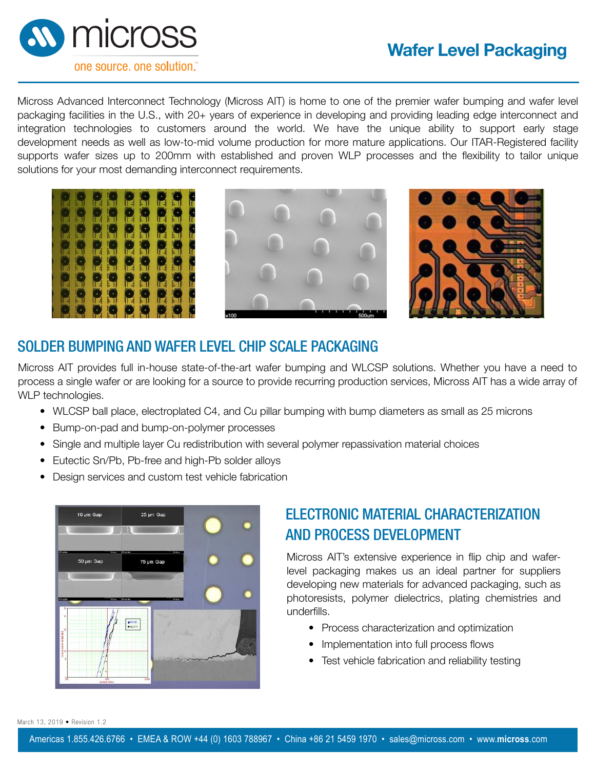

## **Wafer Level Packaging**

Micross Advanced Interconnect Technology (Micross AIT) is home to one of the premier wafer bumping and wafer level packaging facilities in the U.S., with 20+ years of experience in developing and providing leading edge interconnect and integration technologies to customers around the world. We have the unique ability to support early stage development needs as well as low-to-mid volume production for more mature applications. Our ITAR-Registered facility supports wafer sizes up to 200mm with established and proven WLP processes and the flexibility to tailor unique solutions for your most demanding interconnect requirements.







#### SOLDER BUMPING AND WAFER LEVEL CHIP SCALE PACKAGING

Micross AIT provides full in-house state-of-the-art wafer bumping and WLCSP solutions. Whether you have a need to process a single wafer or are looking for a source to provide recurring production services, Micross AIT has a wide array of WLP technologies.

- WLCSP ball place, electroplated C4, and Cu pillar bumping with bump diameters as small as 25 microns
- Bump-on-pad and bump-on-polymer processes
- Single and multiple layer Cu redistribution with several polymer repassivation material choices
- Eutectic Sn/Pb, Pb-free and high-Pb solder alloys
- Design services and custom test vehicle fabrication



## ELECTRONIC MATERIAL CHARACTERIZATION AND PROCESS DEVELOPMENT

Micross AIT's extensive experience in flip chip and waferlevel packaging makes us an ideal partner for suppliers developing new materials for advanced packaging, such as photoresists, polymer dielectrics, plating chemistries and underfills.

- Process characterization and optimization
- Implementation into full process flows
- Test vehicle fabrication and reliability testing

March 13, 2019 • Revision 1.2